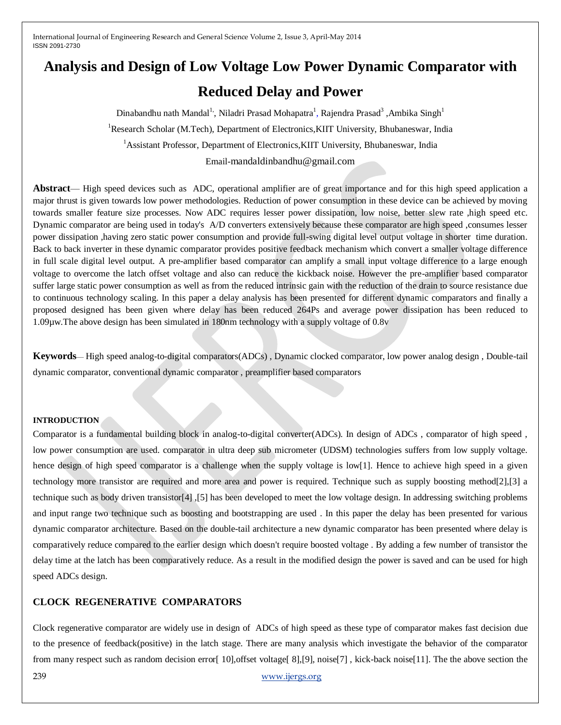# **Analysis and Design of Low Voltage Low Power Dynamic Comparator with**

# **Reduced Delay and Power**

Dinabandhu nath Mandal<sup>1</sup>, Niladri Prasad Mohapatra<sup>1</sup>, Rajendra Prasad<sup>3</sup> ,Ambika Singh<sup>1</sup> <sup>1</sup>Research Scholar (M.Tech), Department of Electronics, KIIT University, Bhubaneswar, India <sup>1</sup> Assistant Professor, Department of Electronics, KIIT University, Bhubaneswar, India Email-mandaldinbandhu@gmail.com

**Abstract**— High speed devices such as ADC, operational amplifier are of great importance and for this high speed application a major thrust is given towards low power methodologies. Reduction of power consumption in these device can be achieved by moving towards smaller feature size processes. Now ADC requires lesser power dissipation, low noise, better slew rate ,high speed etc. Dynamic comparator are being used in today's A/D converters extensively because these comparator are high speed ,consumes lesser power dissipation ,having zero static power consumption and provide full-swing digital level output voltage in shorter time duration. Back to back inverter in these dynamic comparator provides positive feedback mechanism which convert a smaller voltage difference in full scale digital level output. A pre-amplifier based comparator can amplify a small input voltage difference to a large enough voltage to overcome the latch offset voltage and also can reduce the kickback noise. However the pre-amplifier based comparator suffer large static power consumption as well as from the reduced intrinsic gain with the reduction of the drain to source resistance due to continuous technology scaling. In this paper a delay analysis has been presented for different dynamic comparators and finally a proposed designed has been given where delay has been reduced 264Ps and average power dissipation has been reduced to 1.09µw.The above design has been simulated in 180nm technology with a supply voltage of 0.8v

**Keywords**— High speed analog-to-digital comparators(ADCs) , Dynamic clocked comparator, low power analog design , Double-tail dynamic comparator, conventional dynamic comparator , preamplifier based comparators

#### **INTRODUCTION**

Comparator is a fundamental building block in analog-to-digital converter(ADCs). In design of ADCs , comparator of high speed , low power consumption are used. comparator in ultra deep sub micrometer (UDSM) technologies suffers from low supply voltage. hence design of high speed comparator is a challenge when the supply voltage is low[1]. Hence to achieve high speed in a given technology more transistor are required and more area and power is required. Technique such as supply boosting method[2],[3] a technique such as body driven transistor[4] ,[5] has been developed to meet the low voltage design. In addressing switching problems and input range two technique such as boosting and bootstrapping are used . In this paper the delay has been presented for various dynamic comparator architecture. Based on the double-tail architecture a new dynamic comparator has been presented where delay is comparatively reduce compared to the earlier design which doesn't require boosted voltage . By adding a few number of transistor the delay time at the latch has been comparatively reduce. As a result in the modified design the power is saved and can be used for high speed ADCs design.

#### **CLOCK REGENERATIVE COMPARATORS**

Clock regenerative comparator are widely use in design of ADCs of high speed as these type of comparator makes fast decision due to the presence of feedback(positive) in the latch stage. There are many analysis which investigate the behavior of the comparator from many respect such as random decision error[ 10],offset voltage[ 8],[9], noise[7] , kick-back noise[11]. The the above section the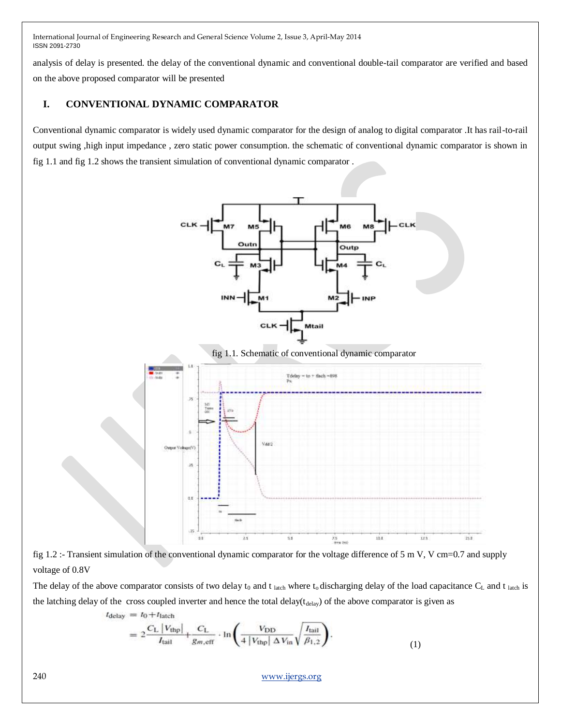analysis of delay is presented. the delay of the conventional dynamic and conventional double-tail comparator are verified and based on the above proposed comparator will be presented

# **I. CONVENTIONAL DYNAMIC COMPARATOR**

Conventional dynamic comparator is widely used dynamic comparator for the design of analog to digital comparator .It has rail-to-rail output swing ,high input impedance , zero static power consumption. the schematic of conventional dynamic comparator is shown in fig 1.1 and fig 1.2 shows the transient simulation of conventional dynamic comparator .



fig 1.1. Schematic of conventional dynamic comparator





The delay of the above comparator consists of two delay  $t_0$  and  $t_{\text{latch}}$  where  $t_0$  discharging delay of the load capacitance  $C_L$  and  $t_{\text{latch}}$  is the latching delay of the cross coupled inverter and hence the total delay( $t_{\text{delay}}$ ) of the above comparator is given as  $t_{\text{delay}} = t_0 + t_{\text{latch}}$ 

$$
=2\frac{C_{\rm L}\left|V_{\rm thp}\right|}{I_{\rm tail}}+\frac{C_{\rm L}}{g_{m,\rm eff}}\cdot\ln\left(\frac{V_{\rm DD}}{4\left|V_{\rm thp}\right|\Delta V_{\rm in}}\sqrt{\frac{I_{\rm tail}}{\beta_{1,2}}}\right).
$$
\n(1)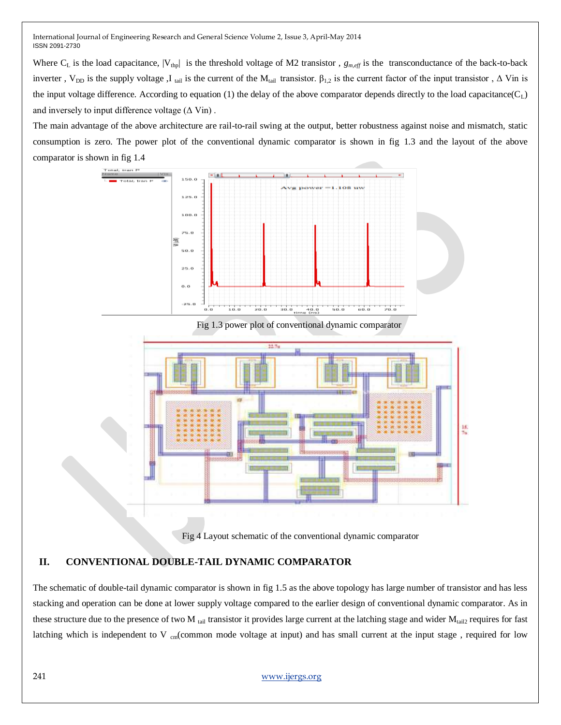Where  $C_L$  is the load capacitance,  $|V_{\text{tmp}}|$  is the threshold voltage of M2 transistor,  $g_{m,eff}$  is the transconductance of the back-to-back inverter, V<sub>DD</sub> is the supply voltage ,I tail is the current of the M<sub>tail</sub> transistor.  $β_{1,2}$  is the current factor of the input transistor , Δ Vin is the input voltage difference. According to equation (1) the delay of the above comparator depends directly to the load capacitance( $C_L$ ) and inversely to input difference voltage  $(\Delta \text{ Vin})$ .

The main advantage of the above architecture are rail-to-rail swing at the output, better robustness against noise and mismatch, static consumption is zero. The power plot of the conventional dynamic comparator is shown in fig 1.3 and the layout of the above comparator is shown in fig 1.4



Fig 1.3 power plot of conventional dynamic comparator



Fig 4 Layout schematic of the conventional dynamic comparator

### **II. CONVENTIONAL DOUBLE-TAIL DYNAMIC COMPARATOR**

The schematic of double-tail dynamic comparator is shown in fig 1.5 as the above topology has large number of transistor and has less stacking and operation can be done at lower supply voltage compared to the earlier design of conventional dynamic comparator. As in these structure due to the presence of two M  $_{tail}$  transistor it provides large current at the latching stage and wider  $M_{tail2}$  requires for fast latching which is independent to V  $_{cm}$  (common mode voltage at input) and has small current at the input stage, required for low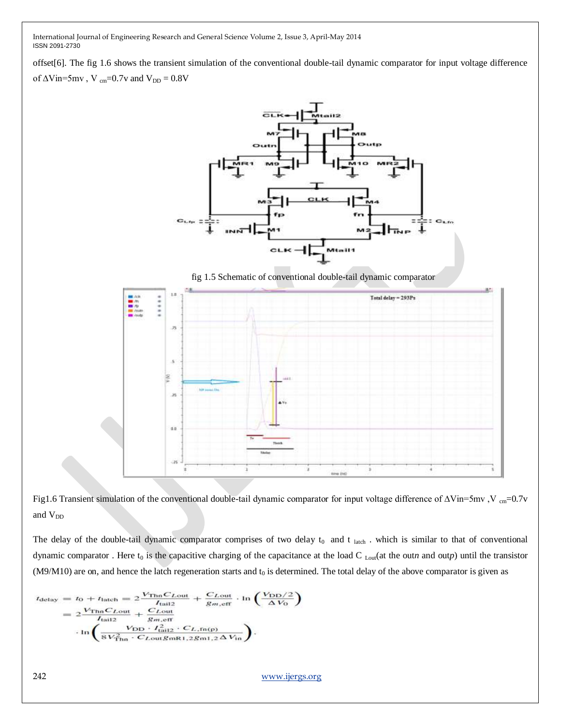offset[6]. The fig 1.6 shows the transient simulation of the conventional double-tail dynamic comparator for input voltage difference of  $\Delta \text{Vir=5mv}$  , V  $_{\text{cm}}=0.7 \text{v}$  and  $\text{V}_{\text{DD}}=0.8 \text{V}$ 



fig 1.5 Schematic of conventional double-tail dynamic comparator





The delay of the double-tail dynamic comparator comprises of two delay  $t_0$  and  $t_{\text{latch}}$ . which is similar to that of conventional dynamic comparator. Here  $t_0$  is the capacitive charging of the capacitance at the load  $C_{\text{Lout}}$ (at the out*n* and out*p*) until the transistor (M9/M10) are on, and hence the latch regeneration starts and  $t_0$  is determined. The total delay of the above comparator is given as

$$
t_{\text{delay}} = t_0 + t_{\text{latch}} = 2 \frac{V_{\text{Thn}} C_{\text{Lout}}}{I_{\text{tail2}}} + \frac{C_{\text{Lout}}}{g_{m,\text{eff}}} \cdot \ln\left(\frac{V_{\text{DD}}/2}{\Delta V_0}\right)
$$
  
= 
$$
2 \frac{V_{\text{Thn}} C_{\text{Lout}}}{I_{\text{tail2}}} + \frac{C_{\text{Lout}}}{g_{m,\text{eff}}}
$$
  

$$
\cdot \ln\left(\frac{V_{\text{DD}} \cdot I_{\text{tail2}}^2 \cdot C_{\text{L,fn(p)}}}{8V_{\text{Thn}}^2 \cdot C_{\text{Lout}} g_{mR1,2} g_{m1,2} \Delta V_{\text{in}}}\right).
$$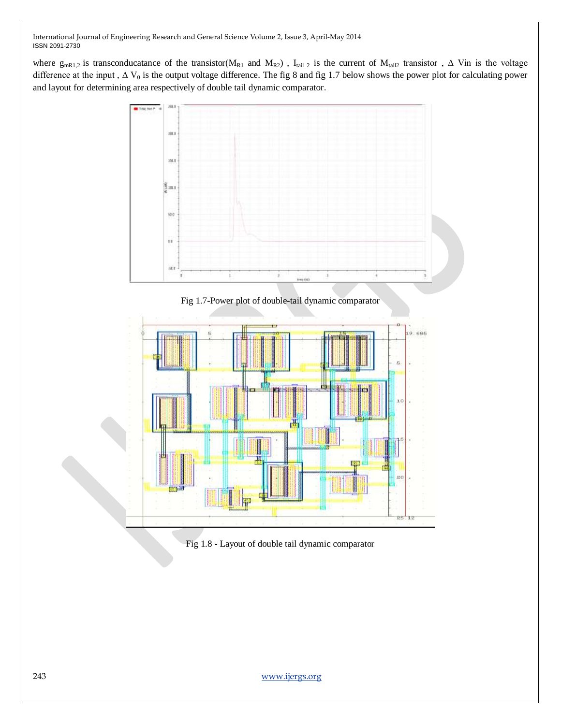where  $g_{mR1,2}$  is transconducatance of the transistor( $M_{R1}$  and  $M_{R2}$ ),  $I_{tail2}$  is the current of  $M_{tail2}$  transistor,  $\Delta$  Vin is the voltage difference at the input,  $\Delta V_0$  is the output voltage difference. The fig 8 and fig 1.7 below shows the power plot for calculating power and layout for determining area respectively of double tail dynamic comparator.



Fig 1.7-Power plot of double-tail dynamic comparator



Fig 1.8 - Layout of double tail dynamic comparator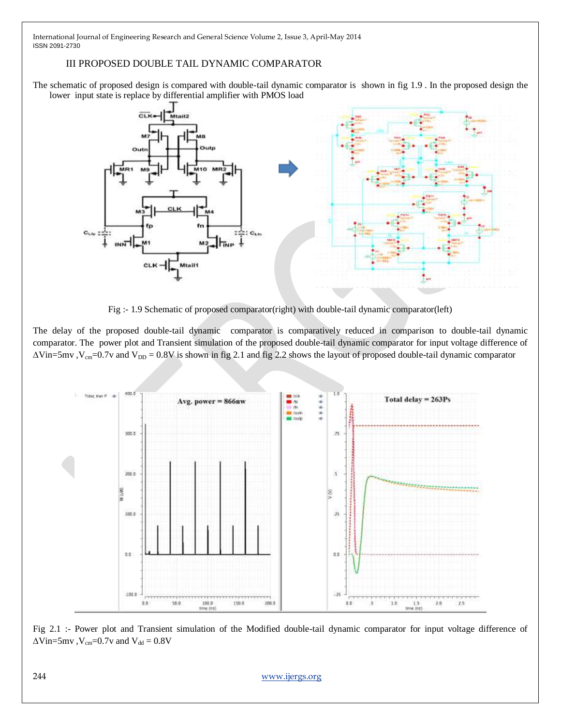### III PROPOSED DOUBLE TAIL DYNAMIC COMPARATOR

The schematic of proposed design is compared with double-tail dynamic comparator is shown in fig 1.9 . In the proposed design the lower input state is replace by differential amplifier with PMOS load



Fig :- 1.9 Schematic of proposed comparator(right) with double-tail dynamic comparator(left)

The delay of the proposed double-tail dynamic comparator is comparatively reduced in comparison to double-tail dynamic comparator. The power plot and Transient simulation of the proposed double-tail dynamic comparator for input voltage difference of  $\Delta$ Vin=5mv, V<sub>cm</sub>=0.7v and V<sub>DD</sub> = 0.8V is shown in fig 2.1 and fig 2.2 shows the layout of proposed double-tail dynamic comparator



Fig 2.1 :- Power plot and Transient simulation of the Modified double-tail dynamic comparator for input voltage difference of  $\Delta$ Vin=5mv, V<sub>cm</sub>=0.7v and V<sub>dd</sub> = 0.8V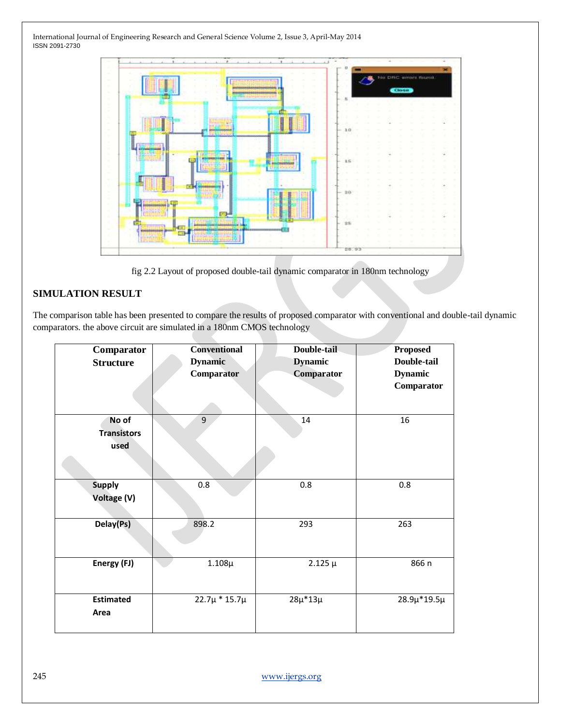| $-1.1$ | $\sim$        | No DRC arrors found.<br><b>Close</b> |  |
|--------|---------------|--------------------------------------|--|
| e.     |               |                                      |  |
|        | $E \subseteq$ |                                      |  |
|        | $D$ O         |                                      |  |
| P 3-   | 25            |                                      |  |

fig 2.2 Layout of proposed double-tail dynamic comparator in 180nm technology

# **SIMULATION RESULT**

The comparison table has been presented to compare the results of proposed comparator with conventional and double-tail dynamic comparators. the above circuit are simulated in a 180nm CMOS technology

| Comparator<br><b>Structure</b>      | <b>Conventional</b><br><b>Dynamic</b><br>Comparator | Double-tail<br><b>Dynamic</b><br>Comparator | <b>Proposed</b><br>Double-tail<br><b>Dynamic</b><br>Comparator |
|-------------------------------------|-----------------------------------------------------|---------------------------------------------|----------------------------------------------------------------|
| No of<br><b>Transistors</b><br>used | 9                                                   | 14                                          | 16                                                             |
| <b>Supply</b><br><b>Voltage (V)</b> | 0.8                                                 | 0.8                                         | 0.8                                                            |
| Delay(Ps)                           | 898.2                                               | 293                                         | 263                                                            |
| Energy (FJ)                         | $1.108\mu$                                          | $2.125 \mu$                                 | 866 n                                                          |
| <b>Estimated</b><br>Area            | $22.7\mu * 15.7\mu$                                 | $28\mu*13\mu$                               | $28.9\mu*19.5\mu$                                              |